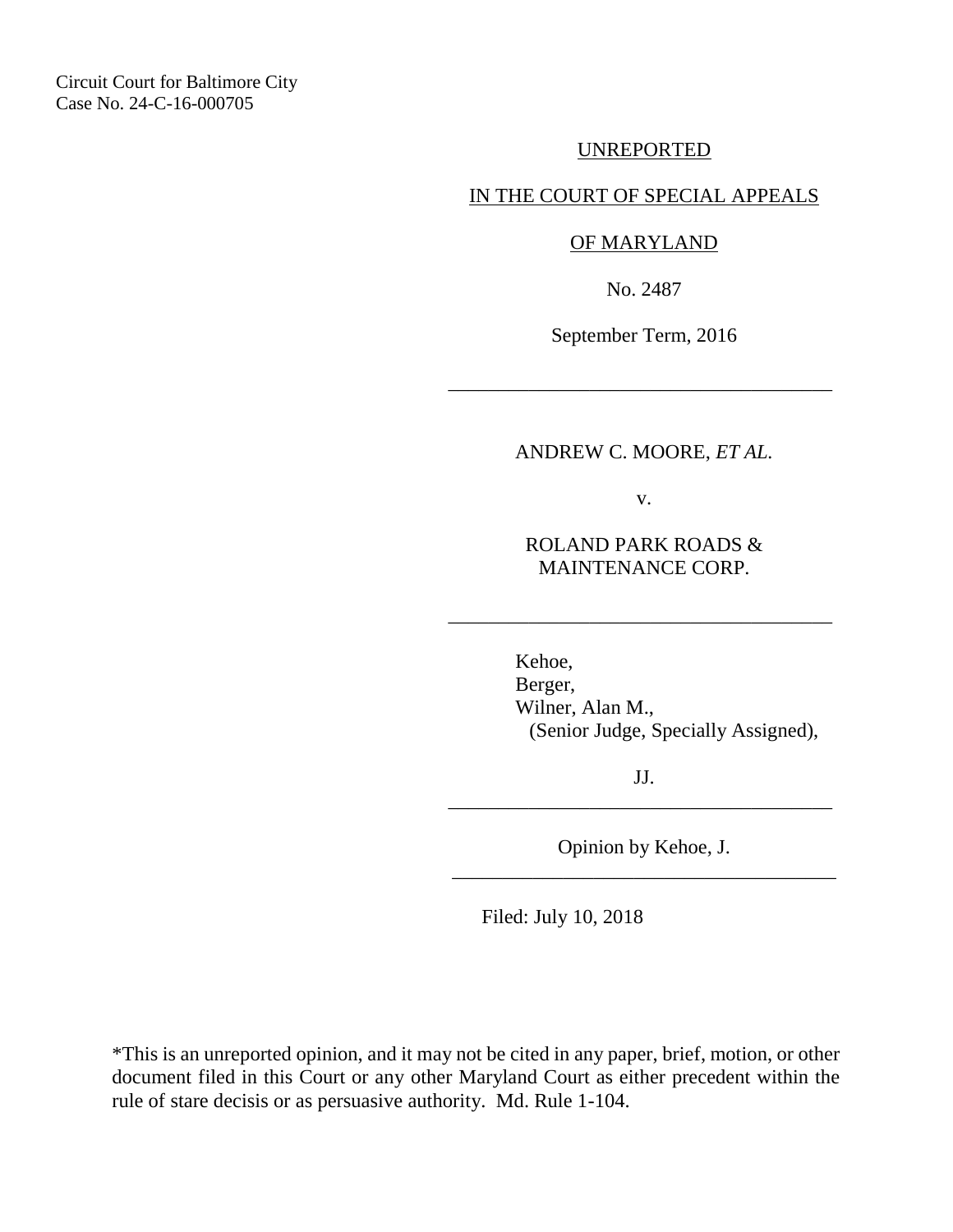UNREPORTED

# IN THE COURT OF SPECIAL APPEALS

## OF MARYLAND

No. 2487

September Term, 2016

\_\_\_\_\_\_\_\_\_\_\_\_\_\_\_\_\_\_\_\_\_\_\_\_\_\_\_\_\_\_\_\_\_\_\_\_\_\_

### ANDREW C. MOORE, *ET AL.*

v.

ROLAND PARK ROADS & MAINTENANCE CORP.

\_\_\_\_\_\_\_\_\_\_\_\_\_\_\_\_\_\_\_\_\_\_\_\_\_\_\_\_\_\_\_\_\_\_\_\_\_\_

 Kehoe, Berger, Wilner, Alan M., (Senior Judge, Specially Assigned),

JJ. \_\_\_\_\_\_\_\_\_\_\_\_\_\_\_\_\_\_\_\_\_\_\_\_\_\_\_\_\_\_\_\_\_\_\_\_\_\_

Opinion by Kehoe, J. \_\_\_\_\_\_\_\_\_\_\_\_\_\_\_\_\_\_\_\_\_\_\_\_\_\_\_\_\_\_\_\_\_\_\_\_\_\_

Filed: July 10, 2018

\*This is an unreported opinion, and it may not be cited in any paper, brief, motion, or other document filed in this Court or any other Maryland Court as either precedent within the rule of stare decisis or as persuasive authority. Md. Rule 1-104.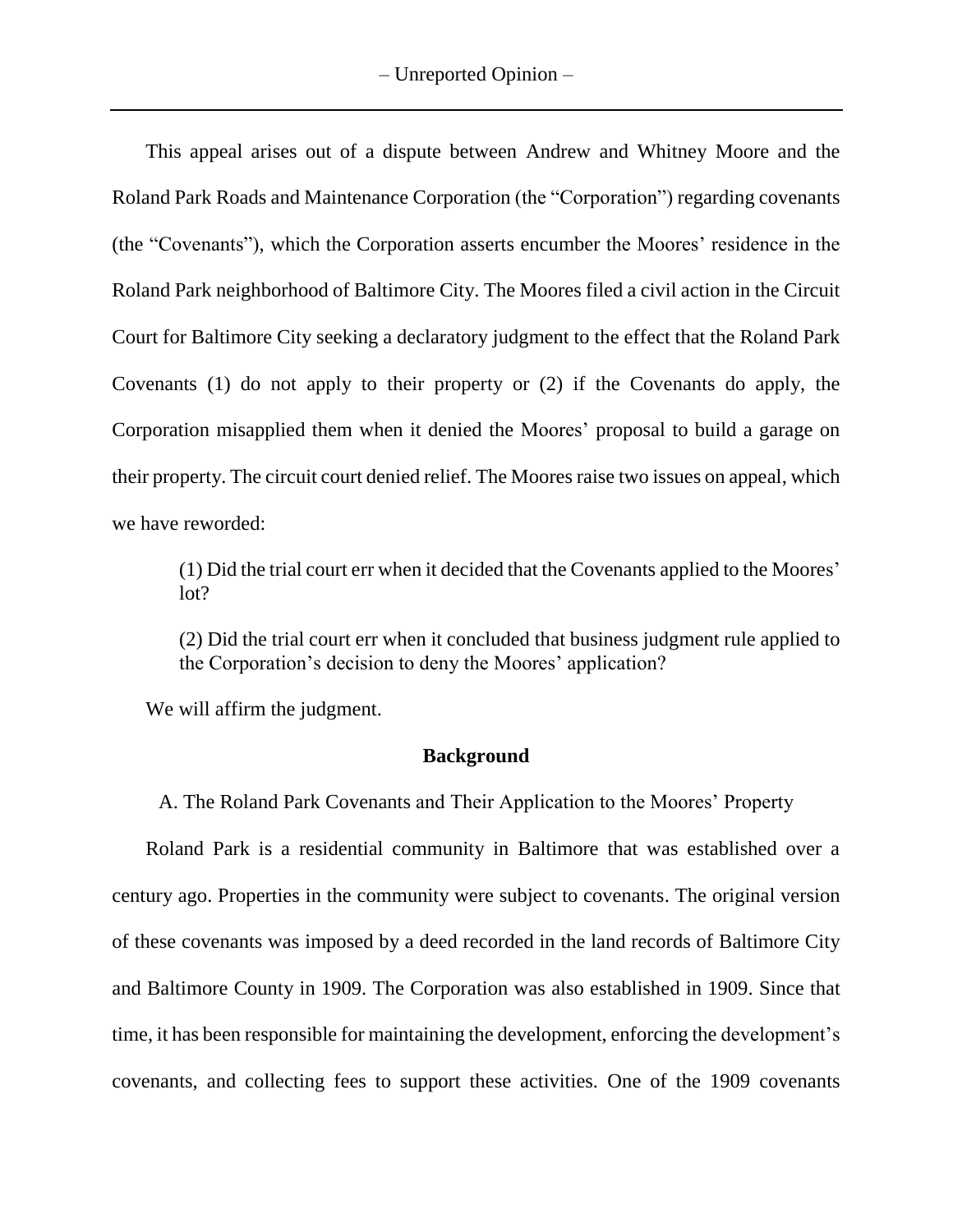This appeal arises out of a dispute between Andrew and Whitney Moore and the Roland Park Roads and Maintenance Corporation (the "Corporation") regarding covenants (the "Covenants"), which the Corporation asserts encumber the Moores' residence in the Roland Park neighborhood of Baltimore City. The Moores filed a civil action in the Circuit Court for Baltimore City seeking a declaratory judgment to the effect that the Roland Park Covenants (1) do not apply to their property or (2) if the Covenants do apply, the Corporation misapplied them when it denied the Moores' proposal to build a garage on their property. The circuit court denied relief. The Moores raise two issues on appeal, which we have reworded:

(1) Did the trial court err when it decided that the Covenants applied to the Moores' lot?

(2) Did the trial court err when it concluded that business judgment rule applied to the Corporation's decision to deny the Moores' application?

We will affirm the judgment.

#### **Background**

A. The Roland Park Covenants and Their Application to the Moores' Property

Roland Park is a residential community in Baltimore that was established over a century ago. Properties in the community were subject to covenants. The original version of these covenants was imposed by a deed recorded in the land records of Baltimore City and Baltimore County in 1909. The Corporation was also established in 1909. Since that time, it has been responsible for maintaining the development, enforcing the development's covenants, and collecting fees to support these activities. One of the 1909 covenants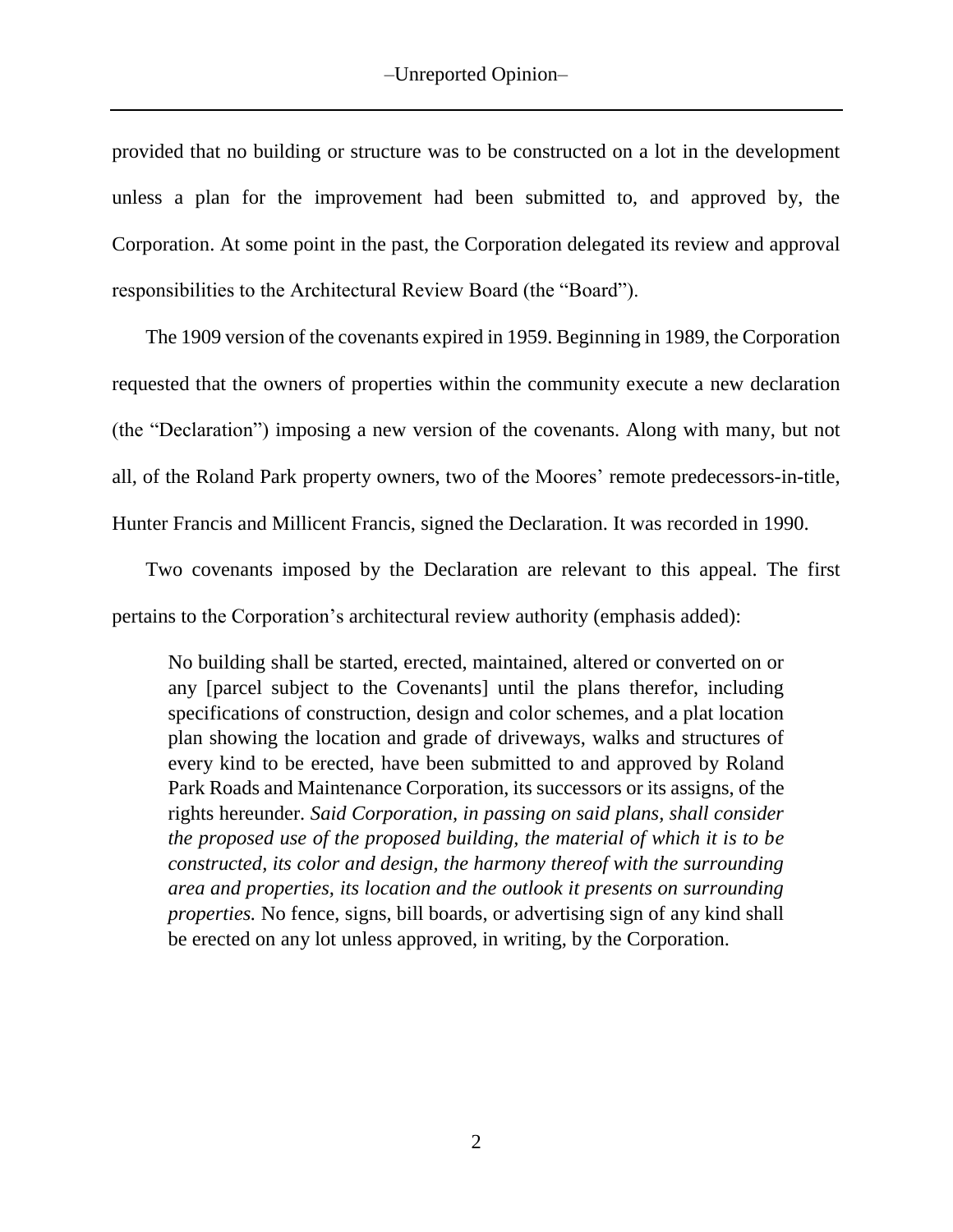provided that no building or structure was to be constructed on a lot in the development unless a plan for the improvement had been submitted to, and approved by, the Corporation. At some point in the past, the Corporation delegated its review and approval responsibilities to the Architectural Review Board (the "Board").

The 1909 version of the covenants expired in 1959. Beginning in 1989, the Corporation requested that the owners of properties within the community execute a new declaration (the "Declaration") imposing a new version of the covenants. Along with many, but not all, of the Roland Park property owners, two of the Moores' remote predecessors-in-title, Hunter Francis and Millicent Francis, signed the Declaration. It was recorded in 1990.

Two covenants imposed by the Declaration are relevant to this appeal. The first pertains to the Corporation's architectural review authority (emphasis added):

No building shall be started, erected, maintained, altered or converted on or any [parcel subject to the Covenants] until the plans therefor, including specifications of construction, design and color schemes, and a plat location plan showing the location and grade of driveways, walks and structures of every kind to be erected, have been submitted to and approved by Roland Park Roads and Maintenance Corporation, its successors or its assigns, of the rights hereunder. *Said Corporation, in passing on said plans, shall consider the proposed use of the proposed building, the material of which it is to be constructed, its color and design, the harmony thereof with the surrounding area and properties, its location and the outlook it presents on surrounding properties.* No fence, signs, bill boards, or advertising sign of any kind shall be erected on any lot unless approved, in writing, by the Corporation.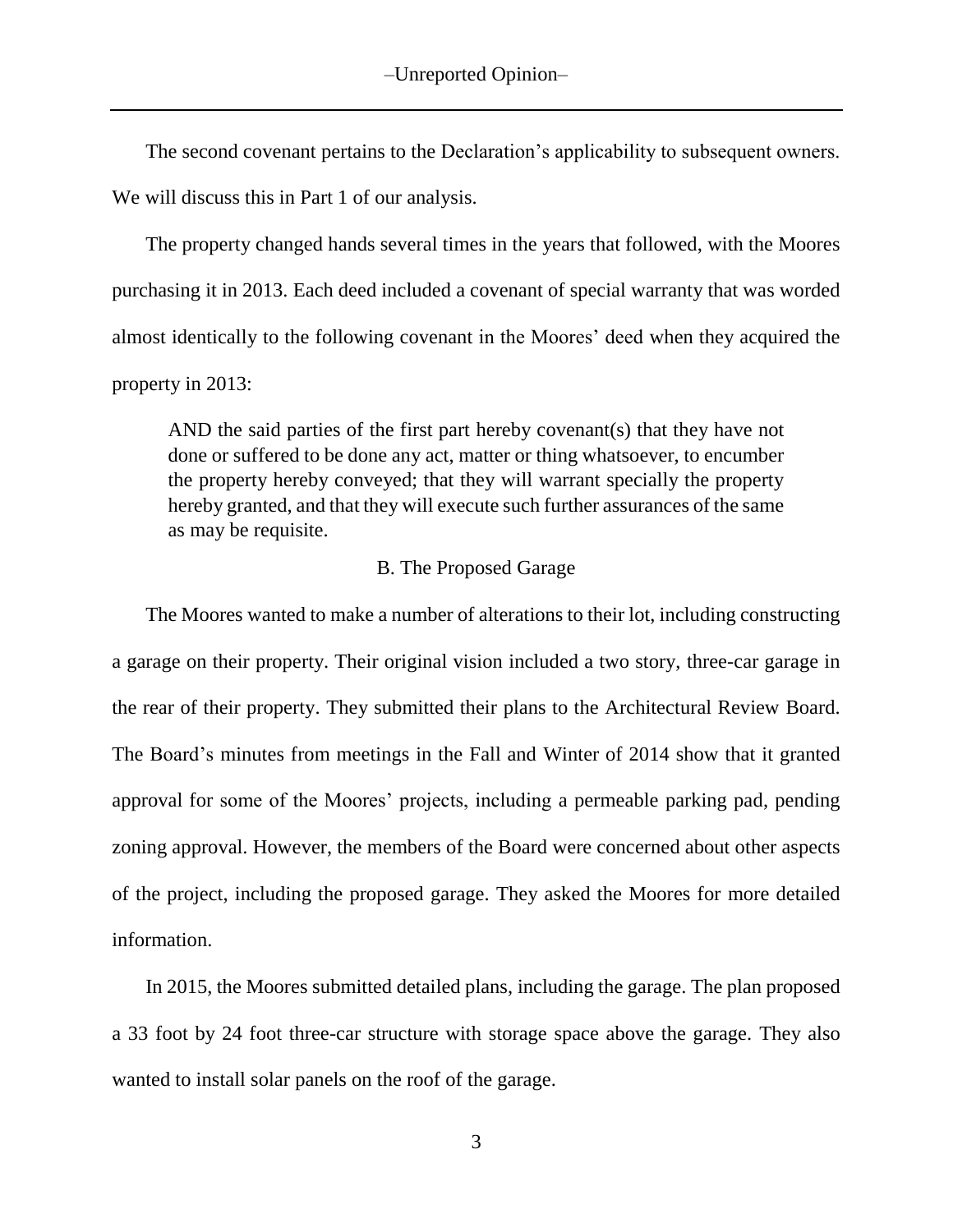The second covenant pertains to the Declaration's applicability to subsequent owners. We will discuss this in Part 1 of our analysis.

The property changed hands several times in the years that followed, with the Moores purchasing it in 2013. Each deed included a covenant of special warranty that was worded almost identically to the following covenant in the Moores' deed when they acquired the property in 2013:

AND the said parties of the first part hereby covenant(s) that they have not done or suffered to be done any act, matter or thing whatsoever, to encumber the property hereby conveyed; that they will warrant specially the property hereby granted, and that they will execute such further assurances of the same as may be requisite.

#### B. The Proposed Garage

The Moores wanted to make a number of alterations to their lot, including constructing a garage on their property. Their original vision included a two story, three-car garage in the rear of their property. They submitted their plans to the Architectural Review Board. The Board's minutes from meetings in the Fall and Winter of 2014 show that it granted approval for some of the Moores' projects, including a permeable parking pad, pending zoning approval. However, the members of the Board were concerned about other aspects of the project, including the proposed garage. They asked the Moores for more detailed information.

In 2015, the Moores submitted detailed plans, including the garage. The plan proposed a 33 foot by 24 foot three-car structure with storage space above the garage. They also wanted to install solar panels on the roof of the garage.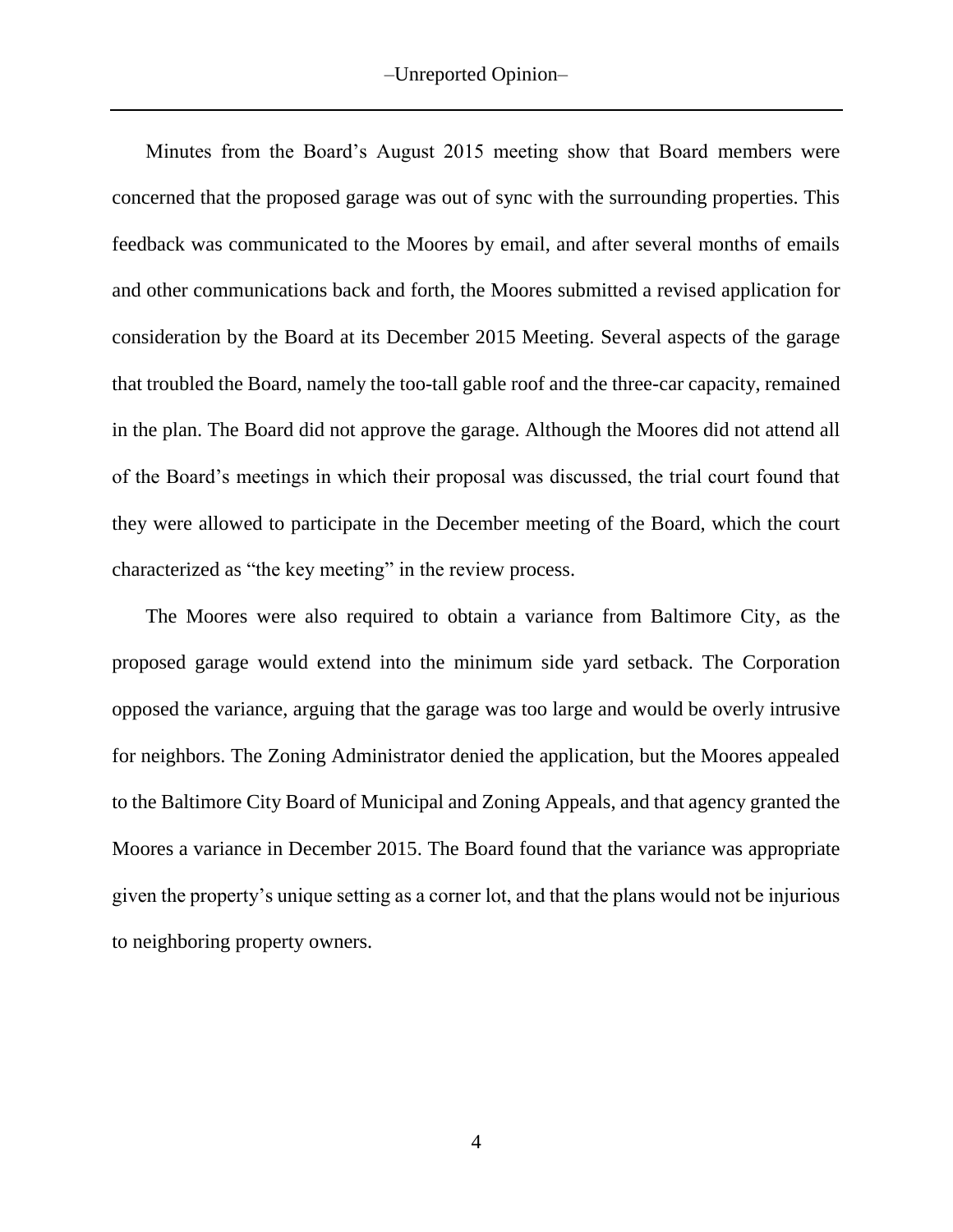Minutes from the Board's August 2015 meeting show that Board members were concerned that the proposed garage was out of sync with the surrounding properties. This feedback was communicated to the Moores by email, and after several months of emails and other communications back and forth, the Moores submitted a revised application for consideration by the Board at its December 2015 Meeting. Several aspects of the garage that troubled the Board, namely the too-tall gable roof and the three-car capacity, remained in the plan. The Board did not approve the garage. Although the Moores did not attend all of the Board's meetings in which their proposal was discussed, the trial court found that they were allowed to participate in the December meeting of the Board, which the court characterized as "the key meeting" in the review process.

The Moores were also required to obtain a variance from Baltimore City, as the proposed garage would extend into the minimum side yard setback. The Corporation opposed the variance, arguing that the garage was too large and would be overly intrusive for neighbors. The Zoning Administrator denied the application, but the Moores appealed to the Baltimore City Board of Municipal and Zoning Appeals, and that agency granted the Moores a variance in December 2015. The Board found that the variance was appropriate given the property's unique setting as a corner lot, and that the plans would not be injurious to neighboring property owners.

4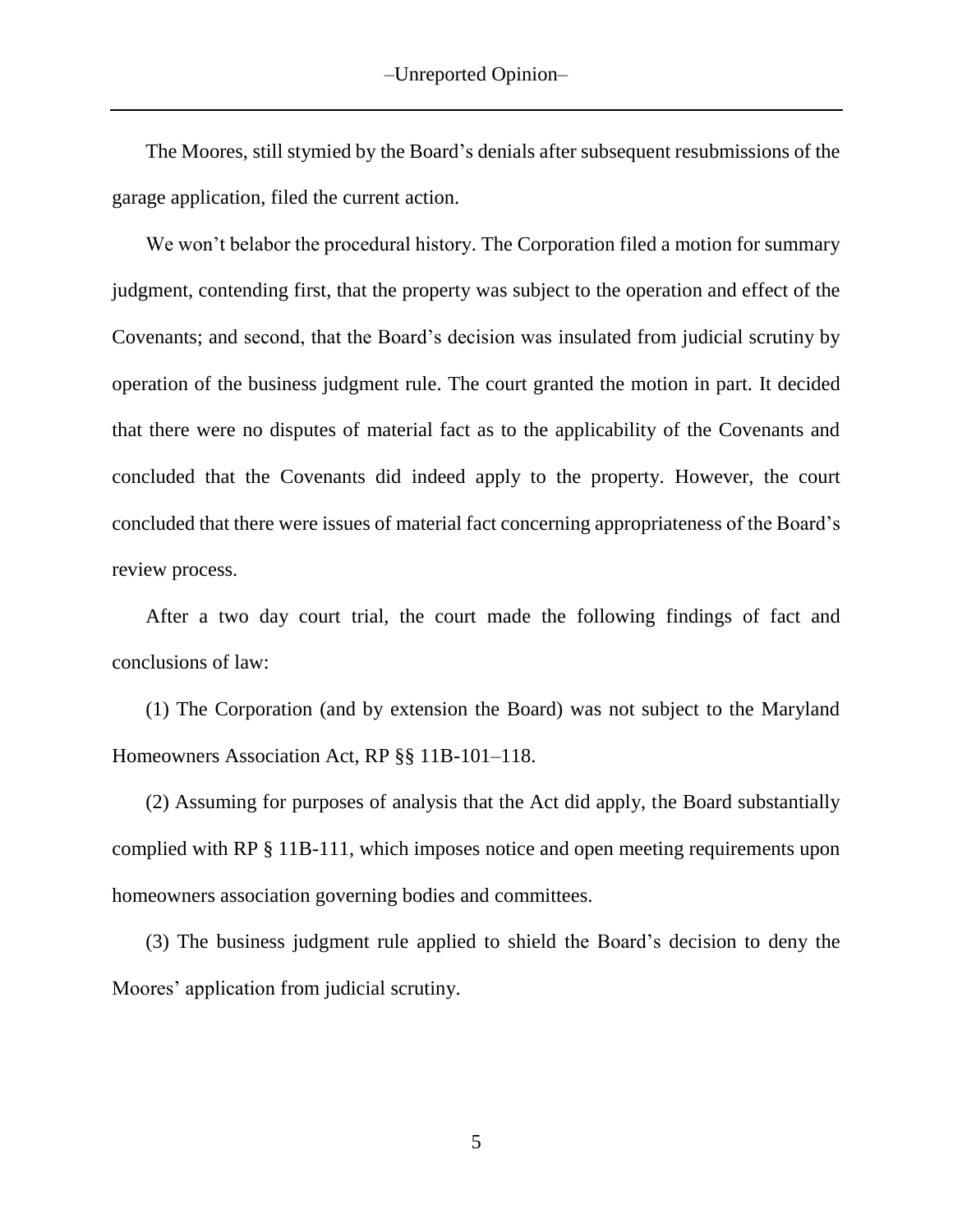The Moores, still stymied by the Board's denials after subsequent resubmissions of the garage application, filed the current action.

We won't belabor the procedural history. The Corporation filed a motion for summary judgment, contending first, that the property was subject to the operation and effect of the Covenants; and second, that the Board's decision was insulated from judicial scrutiny by operation of the business judgment rule. The court granted the motion in part. It decided that there were no disputes of material fact as to the applicability of the Covenants and concluded that the Covenants did indeed apply to the property. However, the court concluded that there were issues of material fact concerning appropriateness of the Board's review process.

After a two day court trial, the court made the following findings of fact and conclusions of law:

(1) The Corporation (and by extension the Board) was not subject to the Maryland Homeowners Association Act, RP §§ 11B-101–118.

(2) Assuming for purposes of analysis that the Act did apply, the Board substantially complied with RP § 11B-111, which imposes notice and open meeting requirements upon homeowners association governing bodies and committees.

(3) The business judgment rule applied to shield the Board's decision to deny the Moores' application from judicial scrutiny.

5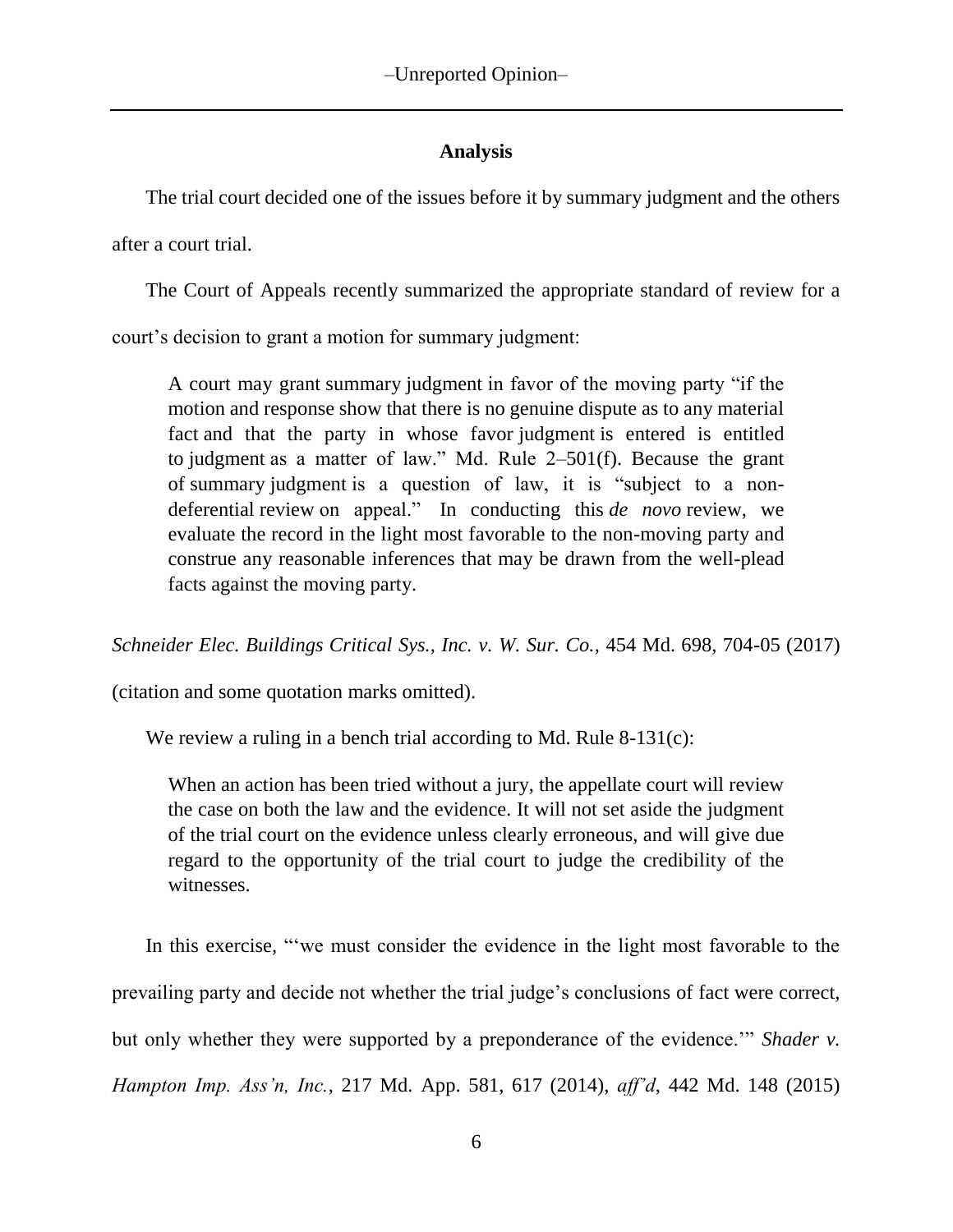# **Analysis**

The trial court decided one of the issues before it by summary judgment and the others

after a court trial.

The Court of Appeals recently summarized the appropriate standard of review for a

court's decision to grant a motion for summary judgment:

A court may grant summary judgment in favor of the moving party "if the motion and response show that there is no genuine dispute as to any material fact and that the party in whose favor judgment is entered is entitled to judgment as a matter of law." Md. Rule 2–501(f). Because the grant of summary judgment is a question of law, it is "subject to a nondeferential review on appeal." In conducting this *de novo* review, we evaluate the record in the light most favorable to the non-moving party and construe any reasonable inferences that may be drawn from the well-plead facts against the moving party.

*Schneider Elec. Buildings Critical Sys., Inc. v. W. Sur. Co.*, 454 Md. 698, 704-05 (2017)

(citation and some quotation marks omitted).

We review a ruling in a bench trial according to Md. Rule 8-131(c):

When an action has been tried without a jury, the appellate court will review the case on both the law and the evidence. It will not set aside the judgment of the trial court on the evidence unless clearly erroneous, and will give due regard to the opportunity of the trial court to judge the credibility of the witnesses.

In this exercise, "'we must consider the evidence in the light most favorable to the prevailing party and decide not whether the trial judge's conclusions of fact were correct, but only whether they were supported by a preponderance of the evidence.'" *Shader v. Hampton Imp. Ass'n, Inc.*, 217 Md. App. 581, 617 (2014), *aff'd*, 442 Md. 148 (2015)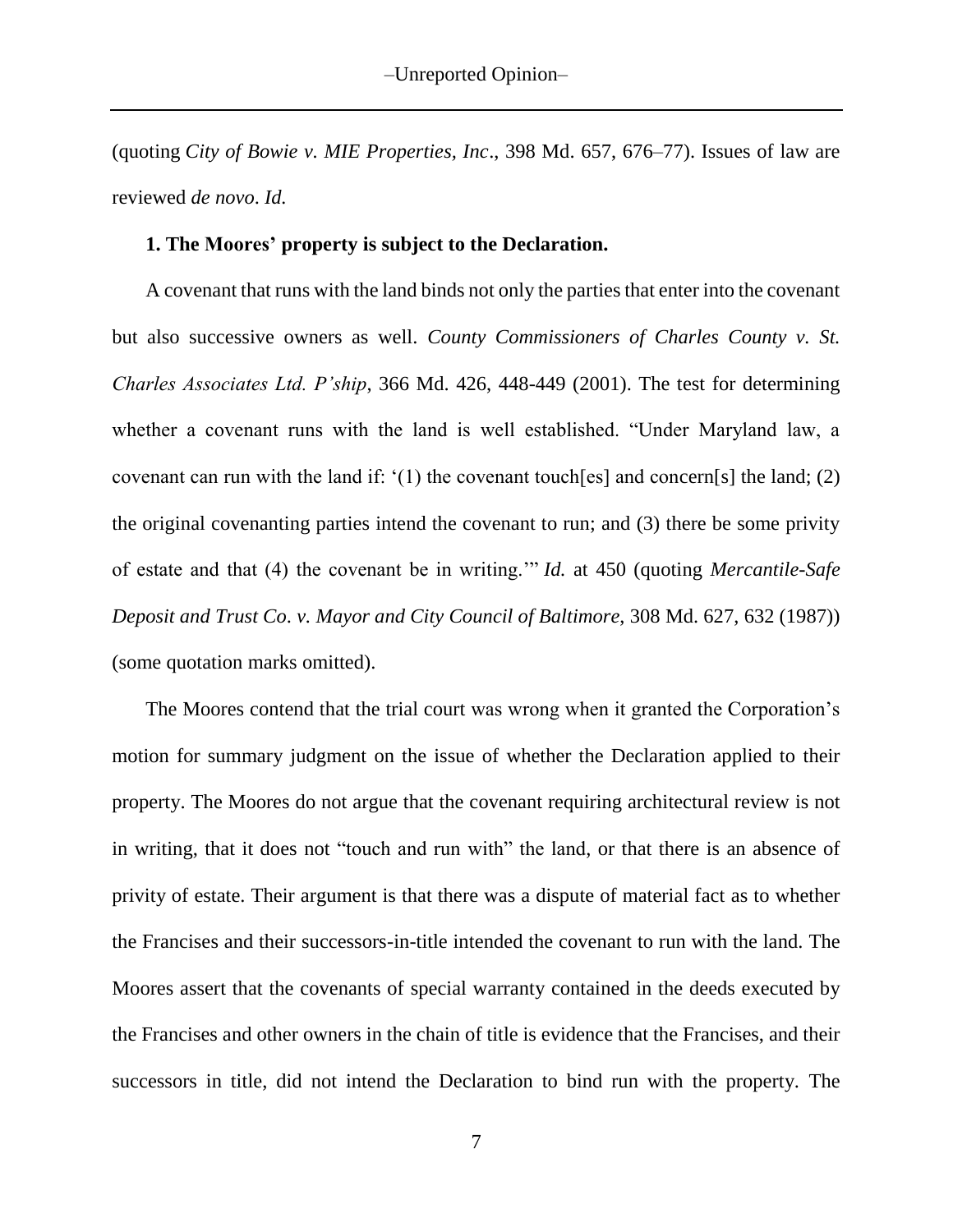(quoting *City of Bowie v. MIE Properties, Inc*., 398 Md. 657, 676–77). Issues of law are reviewed *de novo*. *Id.*

#### **1. The Moores' property is subject to the Declaration.**

A covenant that runs with the land binds not only the parties that enter into the covenant but also successive owners as well. *County Commissioners of Charles County v. St. Charles Associates Ltd. P'ship*, 366 Md. 426, 448-449 (2001). The test for determining whether a covenant runs with the land is well established. "Under Maryland law, a covenant can run with the land if: '(1) the covenant touch[es] and concern[s] the land; (2) the original covenanting parties intend the covenant to run; and (3) there be some privity of estate and that (4) the covenant be in writing.'" *Id.* at 450 (quoting *Mercantile-Safe Deposit and Trust Co*. *v. Mayor and City Council of Baltimore*, 308 Md. 627, 632 (1987)) (some quotation marks omitted).

The Moores contend that the trial court was wrong when it granted the Corporation's motion for summary judgment on the issue of whether the Declaration applied to their property. The Moores do not argue that the covenant requiring architectural review is not in writing, that it does not "touch and run with" the land, or that there is an absence of privity of estate. Their argument is that there was a dispute of material fact as to whether the Francises and their successors-in-title intended the covenant to run with the land. The Moores assert that the covenants of special warranty contained in the deeds executed by the Francises and other owners in the chain of title is evidence that the Francises, and their successors in title, did not intend the Declaration to bind run with the property. The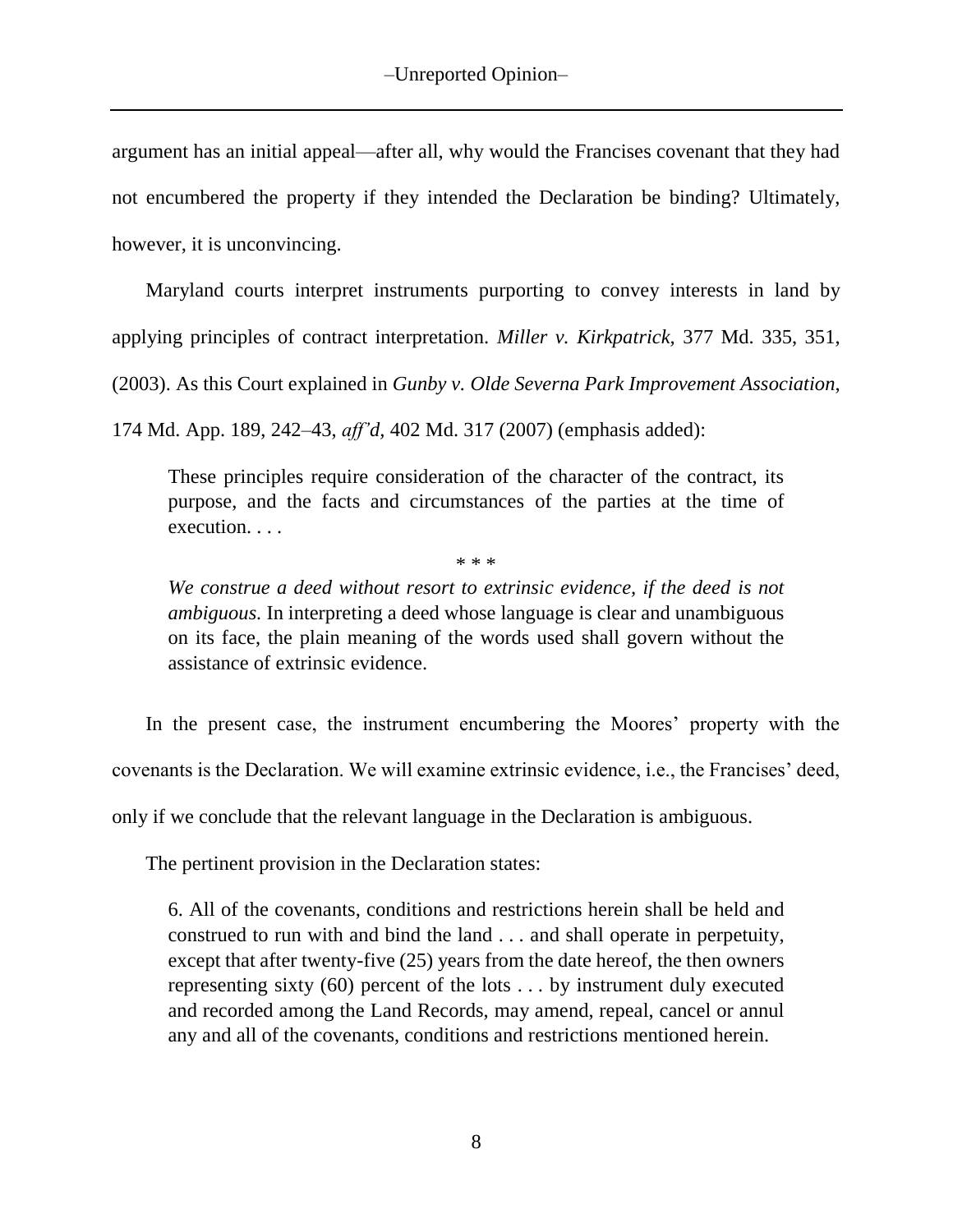argument has an initial appeal—after all, why would the Francises covenant that they had not encumbered the property if they intended the Declaration be binding? Ultimately, however, it is unconvincing.

Maryland courts interpret instruments purporting to convey interests in land by applying principles of contract interpretation. *Miller v. Kirkpatrick,* 377 Md. 335, 351, (2003). As this Court explained in *Gunby v. Olde Severna Park Improvement Association*,

174 Md. App. 189, 242–43, *aff'd,* 402 Md. 317 (2007) (emphasis added):

These principles require consideration of the character of the contract, its purpose, and the facts and circumstances of the parties at the time of execution. . . .

\* \* \*

*We construe a deed without resort to extrinsic evidence, if the deed is not ambiguous.* In interpreting a deed whose language is clear and unambiguous on its face, the plain meaning of the words used shall govern without the assistance of extrinsic evidence.

In the present case, the instrument encumbering the Moores' property with the covenants is the Declaration. We will examine extrinsic evidence, i.e., the Francises' deed, only if we conclude that the relevant language in the Declaration is ambiguous.

The pertinent provision in the Declaration states:

6. All of the covenants, conditions and restrictions herein shall be held and construed to run with and bind the land . . . and shall operate in perpetuity, except that after twenty-five (25) years from the date hereof, the then owners representing sixty (60) percent of the lots . . . by instrument duly executed and recorded among the Land Records, may amend, repeal, cancel or annul any and all of the covenants, conditions and restrictions mentioned herein.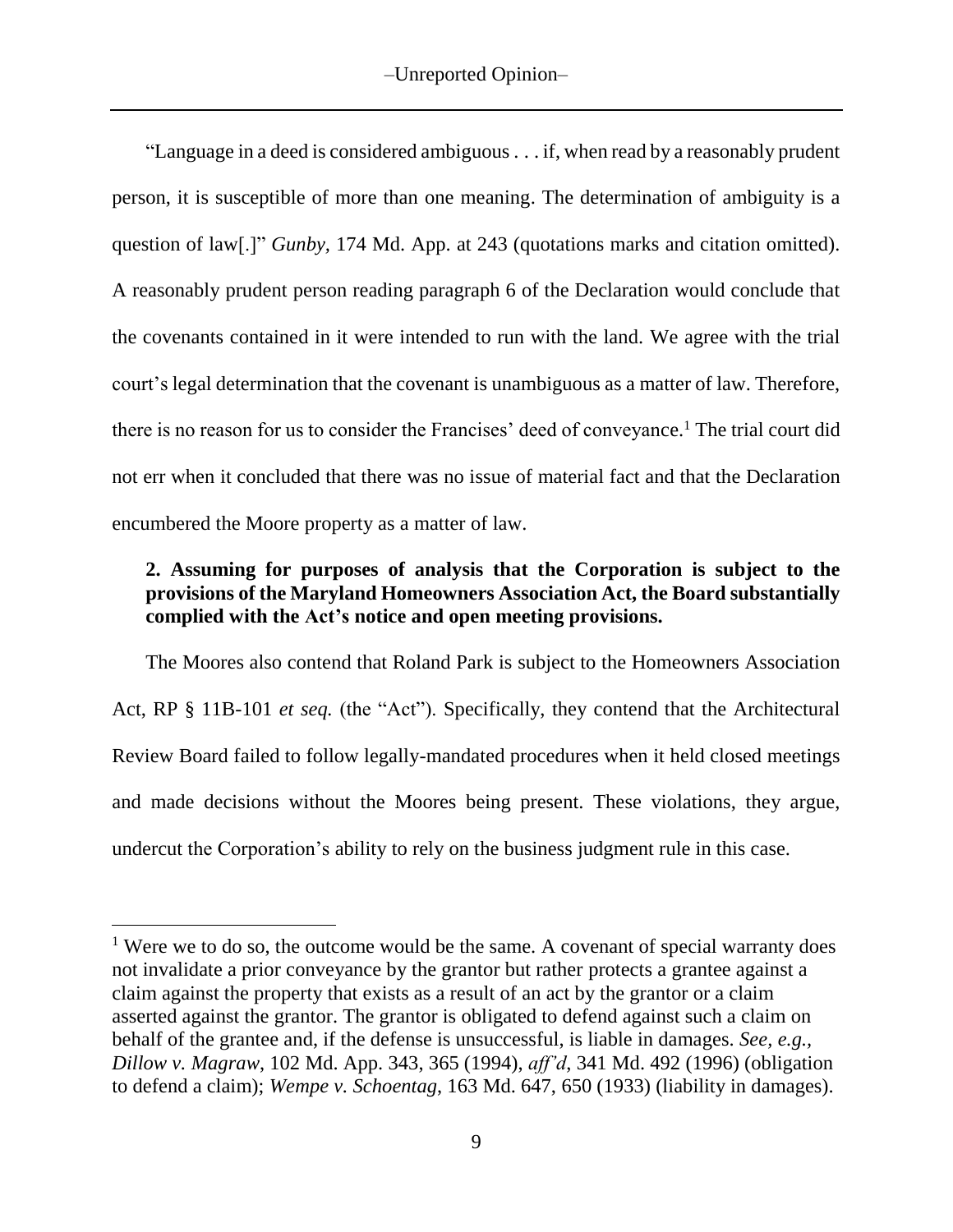"Language in a deed is considered ambiguous . . . if, when read by a reasonably prudent person, it is susceptible of more than one meaning. The determination of ambiguity is a question of law[.]" *Gunby,* 174 Md. App. at 243 (quotations marks and citation omitted). A reasonably prudent person reading paragraph 6 of the Declaration would conclude that the covenants contained in it were intended to run with the land. We agree with the trial court's legal determination that the covenant is unambiguous as a matter of law. Therefore, there is no reason for us to consider the Francises' deed of conveyance.<sup>1</sup> The trial court did not err when it concluded that there was no issue of material fact and that the Declaration encumbered the Moore property as a matter of law.

# **2. Assuming for purposes of analysis that the Corporation is subject to the provisions of the Maryland Homeowners Association Act, the Board substantially complied with the Act's notice and open meeting provisions.**

The Moores also contend that Roland Park is subject to the Homeowners Association Act, RP § 11B-101 *et seq.* (the "Act"). Specifically, they contend that the Architectural Review Board failed to follow legally-mandated procedures when it held closed meetings and made decisions without the Moores being present. These violations, they argue, undercut the Corporation's ability to rely on the business judgment rule in this case.

 $\overline{a}$ 

<sup>&</sup>lt;sup>1</sup> Were we to do so, the outcome would be the same. A covenant of special warranty does not invalidate a prior conveyance by the grantor but rather protects a grantee against a claim against the property that exists as a result of an act by the grantor or a claim asserted against the grantor. The grantor is obligated to defend against such a claim on behalf of the grantee and, if the defense is unsuccessful, is liable in damages. *See, e.g., Dillow v. Magraw*, 102 Md. App. 343, 365 (1994), *aff'd*, 341 Md. 492 (1996) (obligation to defend a claim); *Wempe v. Schoentag*, 163 Md. 647, 650 (1933) (liability in damages).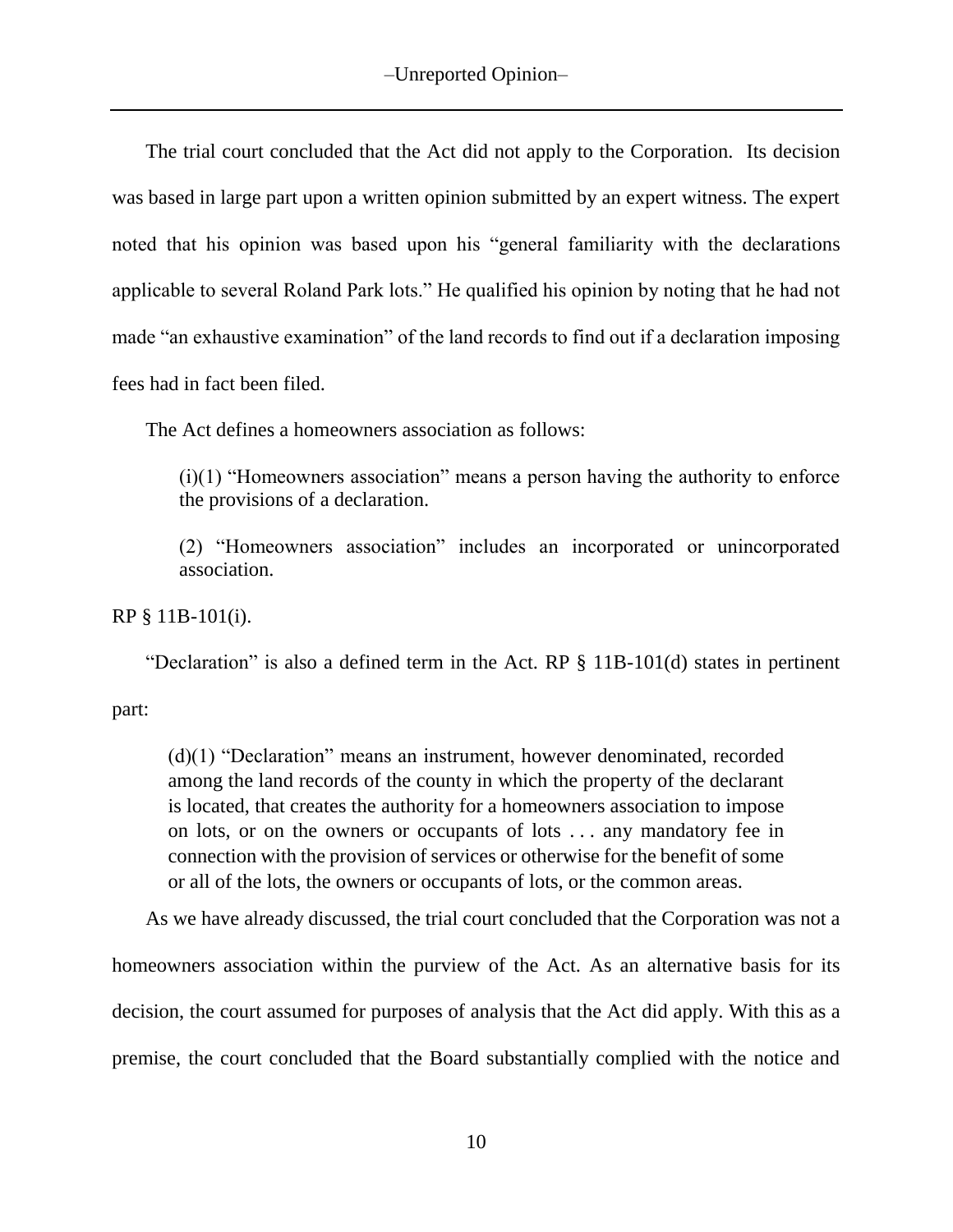The trial court concluded that the Act did not apply to the Corporation. Its decision was based in large part upon a written opinion submitted by an expert witness. The expert noted that his opinion was based upon his "general familiarity with the declarations applicable to several Roland Park lots." He qualified his opinion by noting that he had not made "an exhaustive examination" of the land records to find out if a declaration imposing fees had in fact been filed.

The Act defines a homeowners association as follows:

(i)(1) "Homeowners association" means a person having the authority to enforce the provisions of a declaration.

(2) "Homeowners association" includes an incorporated or unincorporated association.

RP § 11B-101(i).

"Declaration" is also a defined term in the Act. RP § 11B-101(d) states in pertinent

part:

(d)(1) "Declaration" means an instrument, however denominated, recorded among the land records of the county in which the property of the declarant is located, that creates the authority for a homeowners association to impose on lots, or on the owners or occupants of lots . . . any mandatory fee in connection with the provision of services or otherwise for the benefit of some or all of the lots, the owners or occupants of lots, or the common areas.

As we have already discussed, the trial court concluded that the Corporation was not a homeowners association within the purview of the Act. As an alternative basis for its decision, the court assumed for purposes of analysis that the Act did apply. With this as a premise, the court concluded that the Board substantially complied with the notice and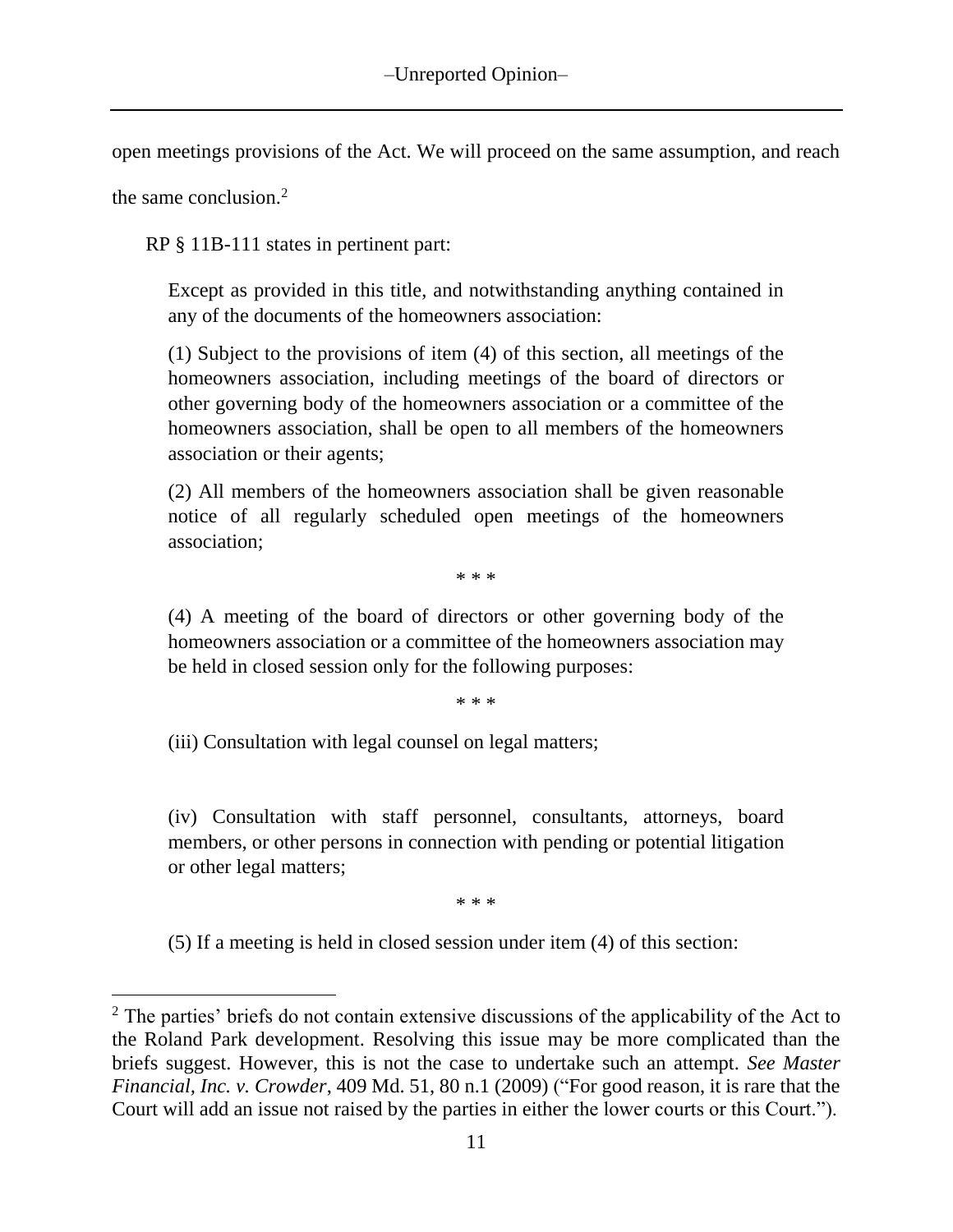open meetings provisions of the Act. We will proceed on the same assumption, and reach

the same conclusion.<sup>2</sup>

RP § 11B-111 states in pertinent part:

Except as provided in this title, and notwithstanding anything contained in any of the documents of the homeowners association:

(1) Subject to the provisions of item (4) of this section, all meetings of the homeowners association, including meetings of the board of directors or other governing body of the homeowners association or a committee of the homeowners association, shall be open to all members of the homeowners association or their agents;

(2) All members of the homeowners association shall be given reasonable notice of all regularly scheduled open meetings of the homeowners association;

\* \* \*

(4) A meeting of the board of directors or other governing body of the homeowners association or a committee of the homeowners association may be held in closed session only for the following purposes:

\* \* \*

(iii) Consultation with legal counsel on legal matters;

(iv) Consultation with staff personnel, consultants, attorneys, board members, or other persons in connection with pending or potential litigation or other legal matters;

\* \* \*

(5) If a meeting is held in closed session under item (4) of this section:

 $2$  The parties' briefs do not contain extensive discussions of the applicability of the Act to the Roland Park development. Resolving this issue may be more complicated than the briefs suggest. However, this is not the case to undertake such an attempt. *See Master Financial, Inc. v. Crowder*, 409 Md. 51, 80 n.1 (2009) ("For good reason, it is rare that the Court will add an issue not raised by the parties in either the lower courts or this Court.").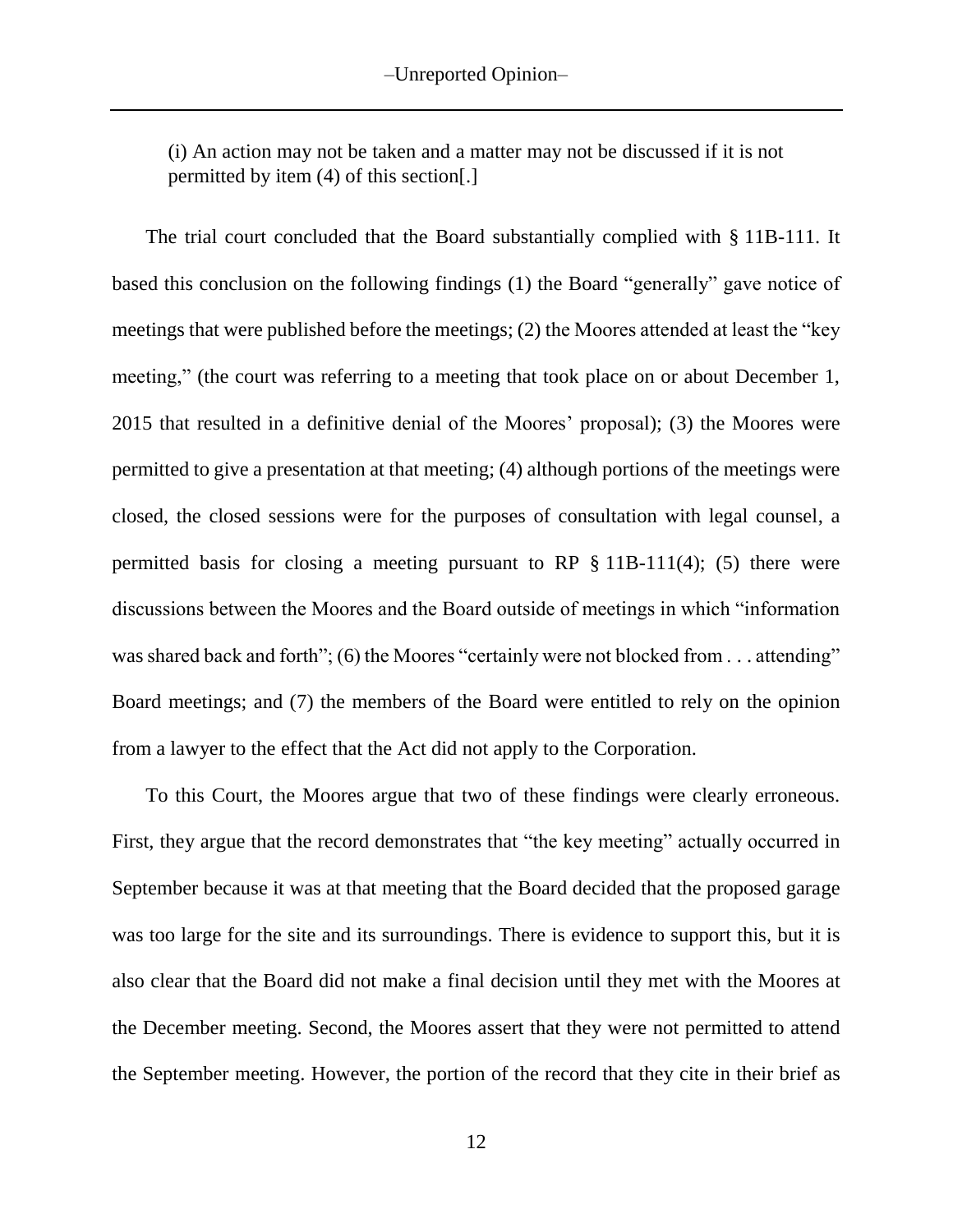(i) An action may not be taken and a matter may not be discussed if it is not permitted by item (4) of this section[.]

The trial court concluded that the Board substantially complied with § 11B-111. It based this conclusion on the following findings (1) the Board "generally" gave notice of meetings that were published before the meetings; (2) the Moores attended at least the "key meeting," (the court was referring to a meeting that took place on or about December 1, 2015 that resulted in a definitive denial of the Moores' proposal); (3) the Moores were permitted to give a presentation at that meeting; (4) although portions of the meetings were closed, the closed sessions were for the purposes of consultation with legal counsel, a permitted basis for closing a meeting pursuant to RP  $\S$  11B-111(4); (5) there were discussions between the Moores and the Board outside of meetings in which "information was shared back and forth"; (6) the Moores "certainly were not blocked from . . . attending" Board meetings; and (7) the members of the Board were entitled to rely on the opinion from a lawyer to the effect that the Act did not apply to the Corporation.

To this Court, the Moores argue that two of these findings were clearly erroneous. First, they argue that the record demonstrates that "the key meeting" actually occurred in September because it was at that meeting that the Board decided that the proposed garage was too large for the site and its surroundings. There is evidence to support this, but it is also clear that the Board did not make a final decision until they met with the Moores at the December meeting. Second, the Moores assert that they were not permitted to attend the September meeting. However, the portion of the record that they cite in their brief as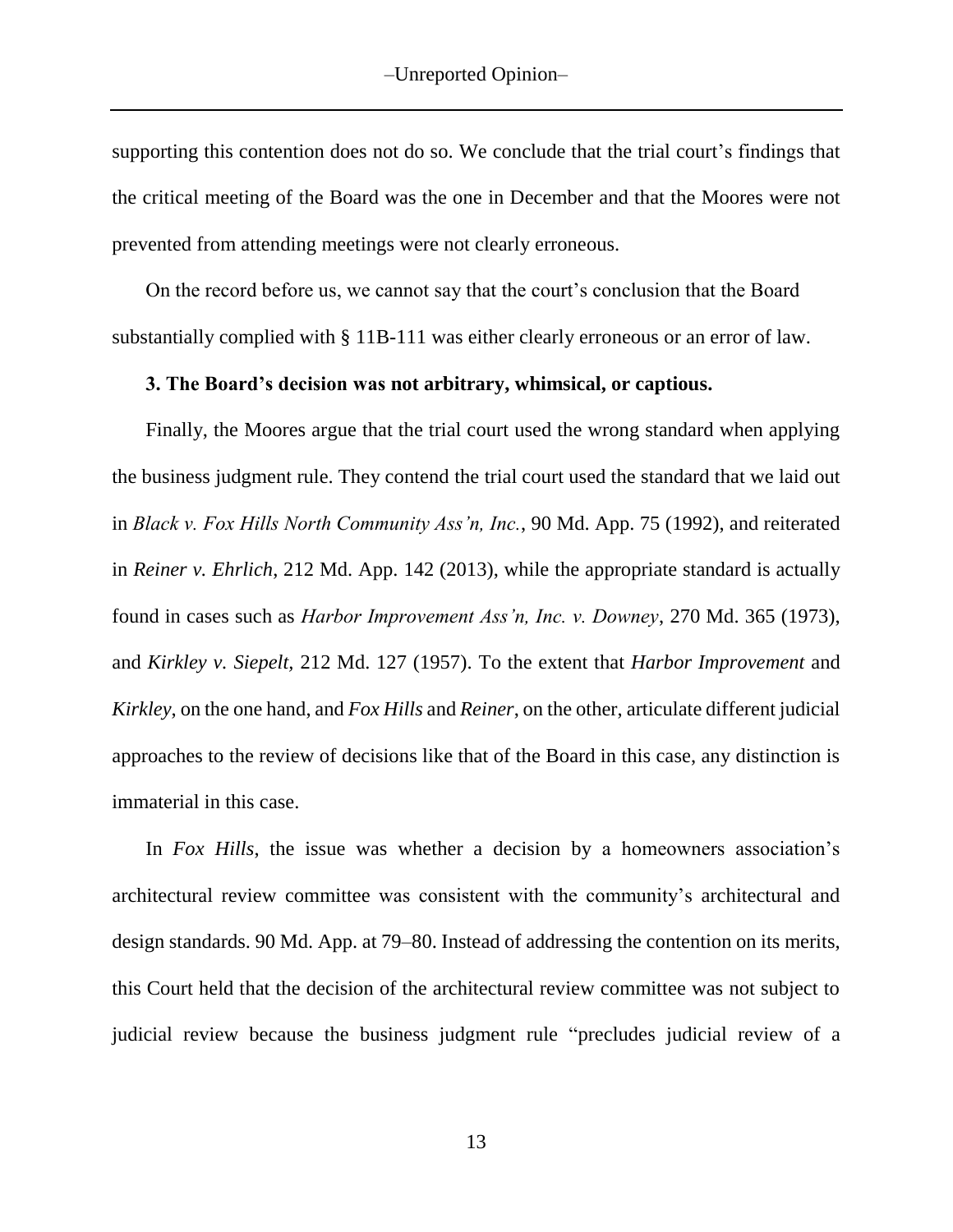supporting this contention does not do so. We conclude that the trial court's findings that the critical meeting of the Board was the one in December and that the Moores were not prevented from attending meetings were not clearly erroneous.

On the record before us, we cannot say that the court's conclusion that the Board substantially complied with § 11B-111 was either clearly erroneous or an error of law.

#### **3. The Board's decision was not arbitrary, whimsical, or captious.**

Finally, the Moores argue that the trial court used the wrong standard when applying the business judgment rule. They contend the trial court used the standard that we laid out in *Black v. Fox Hills North Community Ass'n, Inc.*, 90 Md. App. 75 (1992), and reiterated in *Reiner v. Ehrlich*, 212 Md. App. 142 (2013), while the appropriate standard is actually found in cases such as *Harbor Improvement Ass'n, Inc. v. Downey*, 270 Md. 365 (1973), and *Kirkley v. Siepelt,* 212 Md. 127 (1957). To the extent that *Harbor Improvement* and *Kirkley*, on the one hand, and *Fox Hills* and *Reiner*, on the other, articulate different judicial approaches to the review of decisions like that of the Board in this case, any distinction is immaterial in this case.

In *Fox Hills*, the issue was whether a decision by a homeowners association's architectural review committee was consistent with the community's architectural and design standards. 90 Md. App. at 79–80. Instead of addressing the contention on its merits, this Court held that the decision of the architectural review committee was not subject to judicial review because the business judgment rule "precludes judicial review of a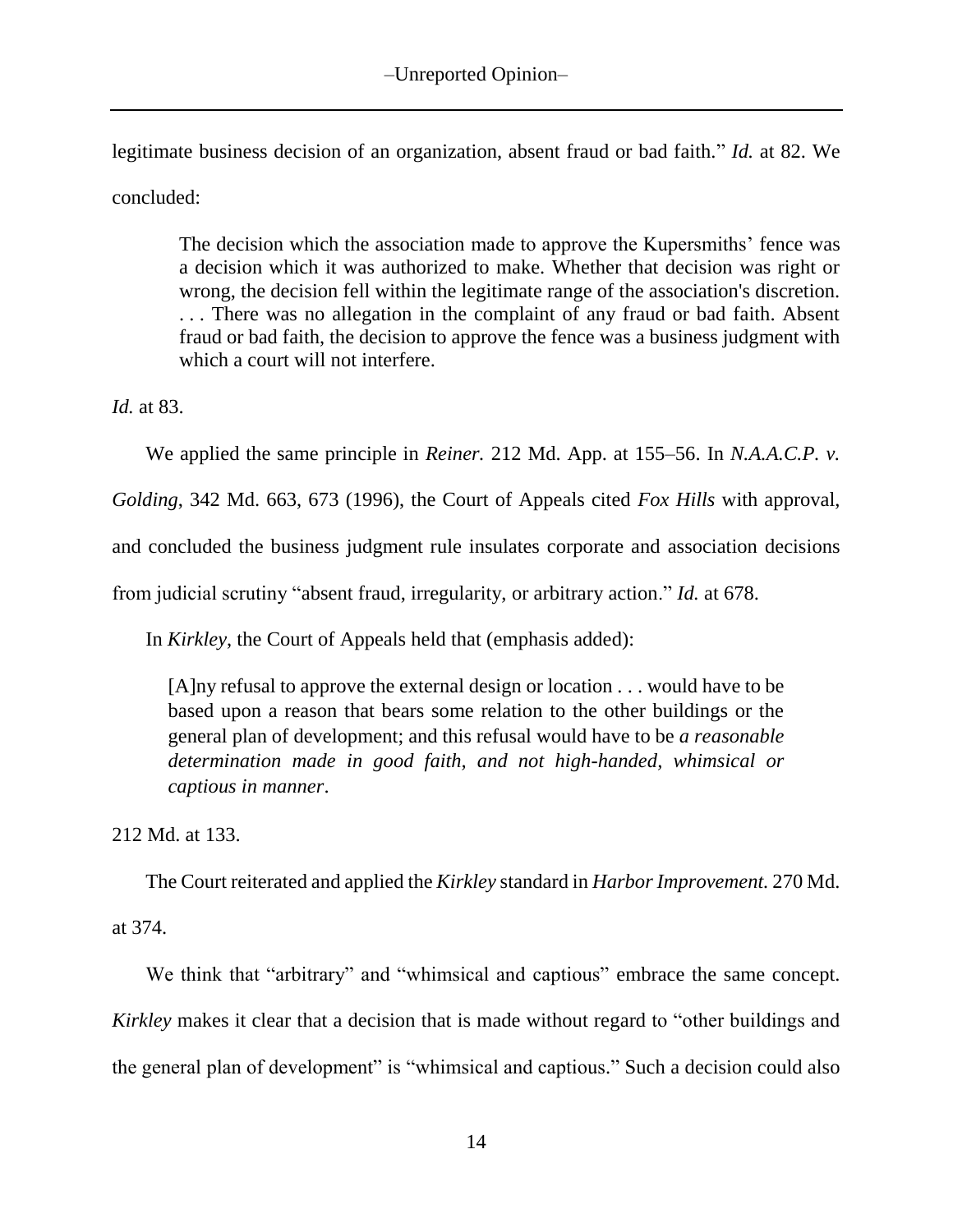legitimate business decision of an organization, absent fraud or bad faith." *Id.* at 82. We concluded:

The decision which the association made to approve the Kupersmiths' fence was a decision which it was authorized to make. Whether that decision was right or wrong, the decision fell within the legitimate range of the association's discretion. . . . There was no allegation in the complaint of any fraud or bad faith. Absent fraud or bad faith, the decision to approve the fence was a business judgment with which a court will not interfere.

*Id.* at 83.

We applied the same principle in *Reiner.* 212 Md. App. at 155–56. In *N.A.A.C.P. v.* 

*Golding*, 342 Md. 663, 673 (1996), the Court of Appeals cited *Fox Hills* with approval,

and concluded the business judgment rule insulates corporate and association decisions

from judicial scrutiny "absent fraud, irregularity, or arbitrary action." *Id.* at 678.

In *Kirkley*, the Court of Appeals held that (emphasis added):

[A]ny refusal to approve the external design or location . . . would have to be based upon a reason that bears some relation to the other buildings or the general plan of development; and this refusal would have to be *a reasonable determination made in good faith, and not high-handed, whimsical or captious in manner*.

212 Md. at 133.

The Court reiterated and applied the *Kirkley* standard in *Harbor Improvement.* 270 Md.

at 374.

We think that "arbitrary" and "whimsical and captious" embrace the same concept. *Kirkley* makes it clear that a decision that is made without regard to "other buildings and the general plan of development" is "whimsical and captious." Such a decision could also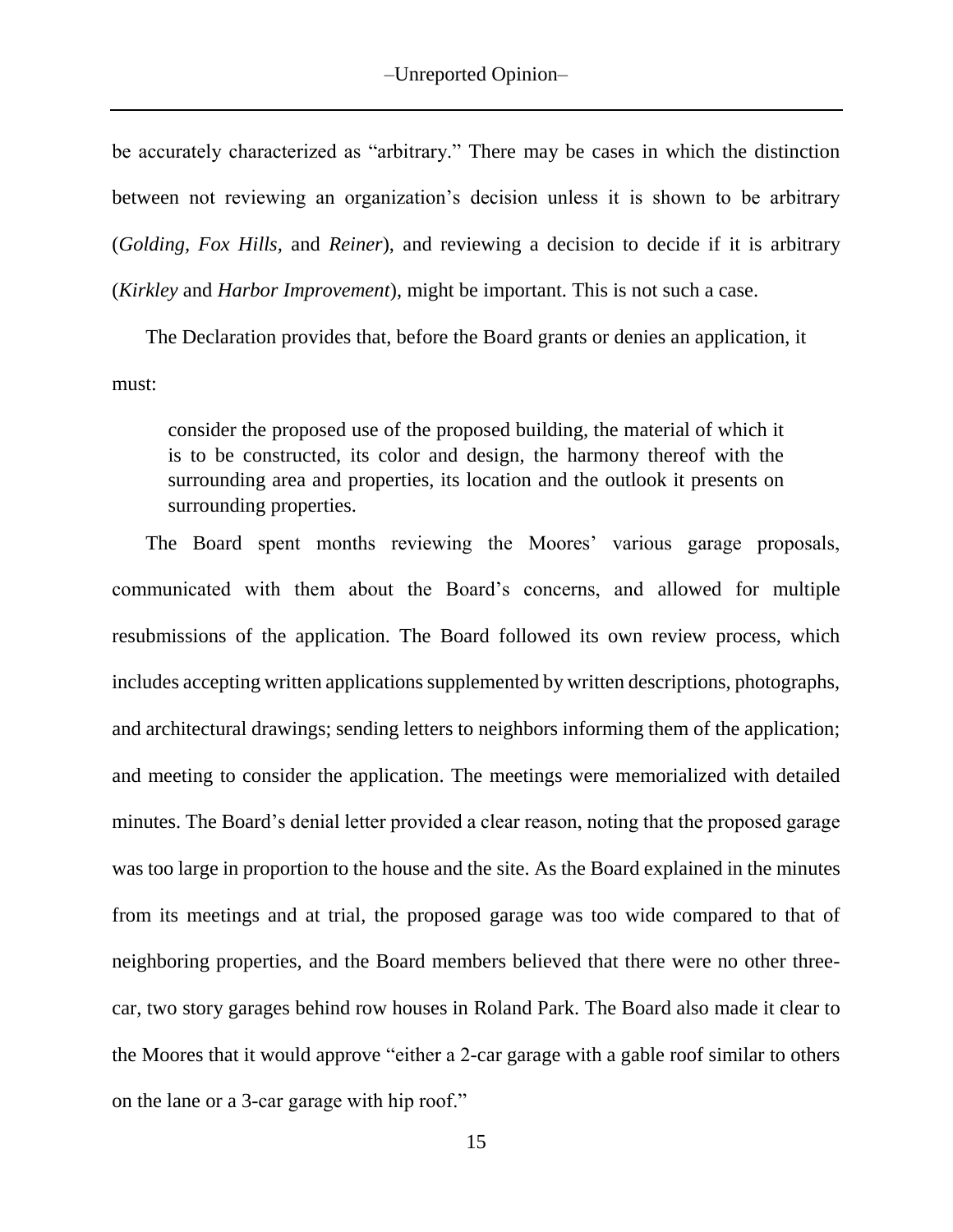be accurately characterized as "arbitrary." There may be cases in which the distinction between not reviewing an organization's decision unless it is shown to be arbitrary (*Golding, Fox Hills,* and *Reiner*), and reviewing a decision to decide if it is arbitrary (*Kirkley* and *Harbor Improvement*), might be important. This is not such a case.

The Declaration provides that, before the Board grants or denies an application, it must:

consider the proposed use of the proposed building, the material of which it is to be constructed, its color and design, the harmony thereof with the surrounding area and properties, its location and the outlook it presents on surrounding properties.

The Board spent months reviewing the Moores' various garage proposals, communicated with them about the Board's concerns, and allowed for multiple resubmissions of the application. The Board followed its own review process, which includes accepting written applications supplemented by written descriptions, photographs, and architectural drawings; sending letters to neighbors informing them of the application; and meeting to consider the application. The meetings were memorialized with detailed minutes. The Board's denial letter provided a clear reason, noting that the proposed garage was too large in proportion to the house and the site. As the Board explained in the minutes from its meetings and at trial, the proposed garage was too wide compared to that of neighboring properties, and the Board members believed that there were no other threecar, two story garages behind row houses in Roland Park. The Board also made it clear to the Moores that it would approve "either a 2-car garage with a gable roof similar to others on the lane or a 3-car garage with hip roof."